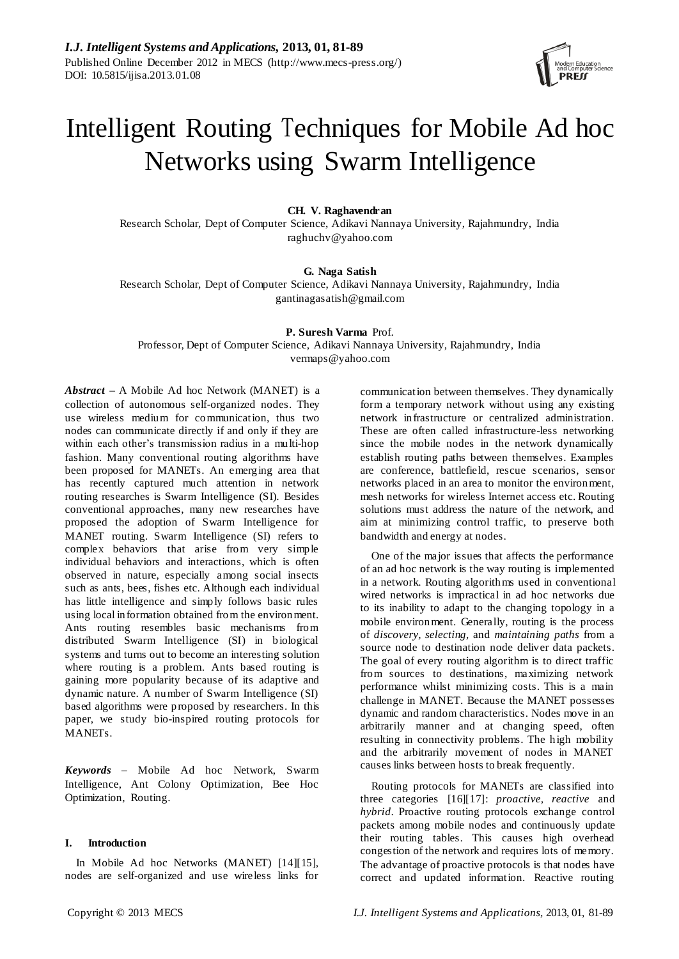

# Intelligent Routing Techniques for Mobile Ad hoc Networks using Swarm Intelligence

# **CH. V. Raghavendran**

Research Scholar, Dept of Computer Science, Adikavi Nannaya University, Rajahmundry, India raghuchv@yahoo.com

# **G. Naga Satish**

Research Scholar, Dept of Computer Science, Adikavi Nannaya University, Rajahmundry, India gantinagasatish@gmail.com

# **P. Suresh Varma** Prof.

Professor, Dept of Computer Science, Adikavi Nannaya University, Rajahmundry, India vermaps@yahoo.com

*Abstract –* A Mobile Ad hoc Network (MANET) is a collection of autonomous self-organized nodes. They use wireless medium for communication, thus two nodes can communicate directly if and only if they are within each other's transmission radius in a multi-hop fashion. Many conventional routing algorithms have been proposed for MANETs. An emerging area that has recently captured much attention in network routing researches is Swarm Intelligence (SI). Besides conventional approaches, many new researches have proposed the adoption of Swarm Intelligence for MANET routing. Swarm Intelligence (SI) refers to complex behaviors that arise from very simple individual behaviors and interactions, which is often observed in nature, especially among social insects such as ants, bees, fishes etc. Although each individual has little intelligence and simply follows basic rules using local information obtained from the environment. Ants routing resembles basic mechanisms from distributed Swarm Intelligence (SI) in biological systems and turns out to become an interesting solution where routing is a problem. Ants based routing is gaining more popularity because of its adaptive and dynamic nature. A number of Swarm Intelligence (SI) based algorithms were proposed by researchers. In this paper, we study bio-inspired routing protocols for MANETs.

*Keywords* – Mobile Ad hoc Network, Swarm Intelligence, Ant Colony Optimization, Bee Hoc Optimization, Routing.

# **I. Introduction**

In Mobile Ad hoc Networks (MANET) [14][15], nodes are self-organized and use wireless links for communication between themselves. They dynamically form a temporary network without using any existing network infrastructure or centralized administration. These are often called infrastructure-less networking since the mobile nodes in the network dynamically establish routing paths between themselves. Examples are conference, battlefield, rescue scenarios, sensor networks placed in an area to monitor the environment, mesh networks for wireless Internet access etc. Routing solutions must address the nature of the network, and aim at minimizing control traffic, to preserve both bandwidth and energy at nodes.

One of the major issues that affects the performance of an ad hoc network is the way routing is implemented in a network. Routing algorithms used in conventional wired networks is impractical in ad hoc networks due to its inability to adapt to the changing topology in a mobile environment. Generally, routing is the process of *discovery, selecting,* and *maintaining paths* from a source node to destination node deliver data packets. The goal of every routing algorithm is to direct traffic from sources to destinations, maximizing network performance whilst minimizing costs. This is a main challenge in MANET. Because the MANET possesses dynamic and random characteristics. Nodes move in an arbitrarily manner and at changing speed, often resulting in connectivity problems. The high mobility and the arbitrarily movement of nodes in MANET causes links between hosts to break frequently.

Routing protocols for MANETs are classified into three categories [16][17]: *proactive, reactive* and *hybrid*. Proactive routing protocols exchange control packets among mobile nodes and continuously update their routing tables. This causes high overhead congestion of the network and requires lots of memory. The advantage of proactive protocols is that nodes have correct and updated information. Reactive routing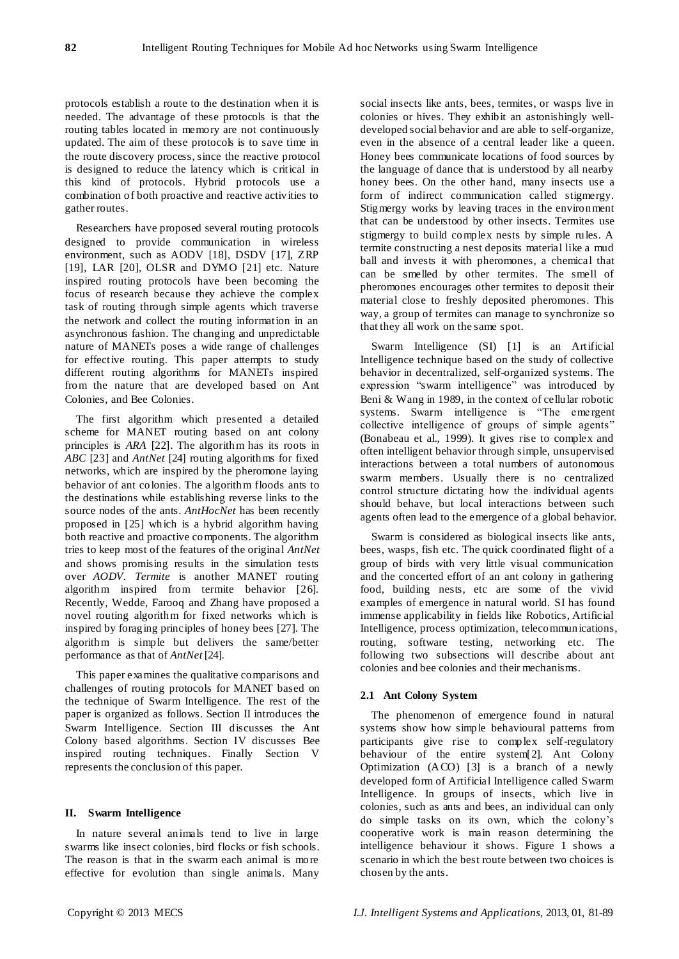protocols establish a route to the destination when it is needed. The advantage of these protocols is that the routing tables located in memory are not continuously updated. The aim of these protocols is to save time in the route discovery process, since the reactive protocol is designed to reduce the latency which is critical in this kind of protocols. Hybrid protocols use a combination of both proactive and reactive activities to gather routes.

Researchers have proposed several routing protocols designed to provide communication in wireless environment, such as AODV [18], DSDV [17], ZRP [19], LAR [20], OLSR and DYMO [21] etc. Nature inspired routing protocols have been becoming the focus of research because they achieve the complex task of routing through simple agents which traverse the network and collect the routing information in an asynchronous fashion. The changing and unpredictable nature of MANETs poses a wide range of challenges for effective routing. This paper attempts to study different routing algorithms for MANETs inspired from the nature that are developed based on Ant Colonies, and Bee Colonies.

The first algorithm which presented a detailed scheme for MANET routing based on ant colony principles is *ARA* [22]. The algorithm has its roots in *ABC* [23] and *AntNet* [24] routing algorithms for fixed networks, which are inspired by the pheromone laying behavior of ant colonies. The a lgorithm floods ants to the destinations while establishing reverse links to the source nodes of the ants. *AntHocNet* has been recently proposed in [25] which is a hybrid algorithm having both reactive and proactive components. The algorithm tries to keep most of the features of the original *AntNet*  and shows promising results in the simulation tests over *AODV*. *Termite* is another MANET routing algorithm inspired from termite behavior [26]. Recently, Wedde, Farooq and Zhang have proposed a novel routing algorithm for fixed networks which is inspired by foraging principles of honey bees [27]. The algorithm is simple but delivers the same/better performance as that of *AntNet* [24].

This paper examines the qualitative comparisons and challenges of routing protocols for MANET based on the technique of Swarm Intelligence. The rest of the paper is organized as follows. Section II introduces the Swarm Intelligence. Section III discusses the Ant Colony based algorithms. Section IV discusses Bee inspired routing techniques. Finally Section V represents the conclusion of this paper.

#### **II. Swarm Intelligence**

In nature several animals tend to live in large swarms like insect colonies, bird flocks or fish schools. The reason is that in the swarm each animal is more effective for evolution than single animals. Many social insects like ants, bees, termites, or wasps live in colonies or hives. They exhibit an astonishingly welldeveloped social behavior and are able to self-organize, even in the absence of a central leader like a queen. Honey bees communicate locations of food sources by the language of dance that is understood by all nearby honey bees. On the other hand, many insects use a form of indirect communication called stigmergy. Stigmergy works by leaving traces in the environment that can be understood by other insects. Termites use stigmergy to build complex nests by simple rules. A termite constructing a nest deposits material like a mud ball and invests it with pheromones, a chemical that can be smelled by other termites. The smell of pheromones encourages other termites to deposit their material close to freshly deposited pheromones. This way, a group of termites can manage to synchronize so that they all work on the same spot.

Swarm Intelligence (SI) [1] is an Artificial Intelligence technique based on the study of collective behavior in decentralized, self-organized systems. The expression "swarm intelligence" was introduced by Beni & Wang in 1989, in the context of cellular robotic systems. Swarm intelligence is "The eme rgent collective intelligence of groups of simple agents" (Bonabeau et al., 1999). It gives rise to complex and often intelligent behavior through simple, unsupervised interactions between a total numbers of autonomous swarm members. Usually there is no centralized control structure dictating how the individual agents should behave, but local interactions between such agents often lead to the emergence of a global behavior.

Swarm is considered as biological insects like ants, bees, wasps, fish etc. The quick coordinated flight of a group of birds with very little visual communication and the concerted effort of an ant colony in gathering food, building nests, etc are some of the vivid examples of emergence in natural world. SI has found immense applicability in fields like Robotics, Artificial Intelligence, process optimization, telecommunications, routing, software testing, networking etc. The following two subsections will describe about ant colonies and bee colonies and their mechanisms.

#### **2.1 Ant Colony System**

The phenomenon of emergence found in natural systems show how simple behavioural patterns from participants give rise to complex self-regulatory behaviour of the entire system[2]. Ant Colony Optimization (ACO) [3] is a branch of a newly developed form of Artificial Intelligence called Swarm Intelligence. In groups of insects, which live in colonies, such as ants and bees, an individual can only do simple tasks on its own, which the colony"s cooperative work is main reason determining the intelligence behaviour it shows. Figure 1 shows a scenario in which the best route between two choices is chosen by the ants.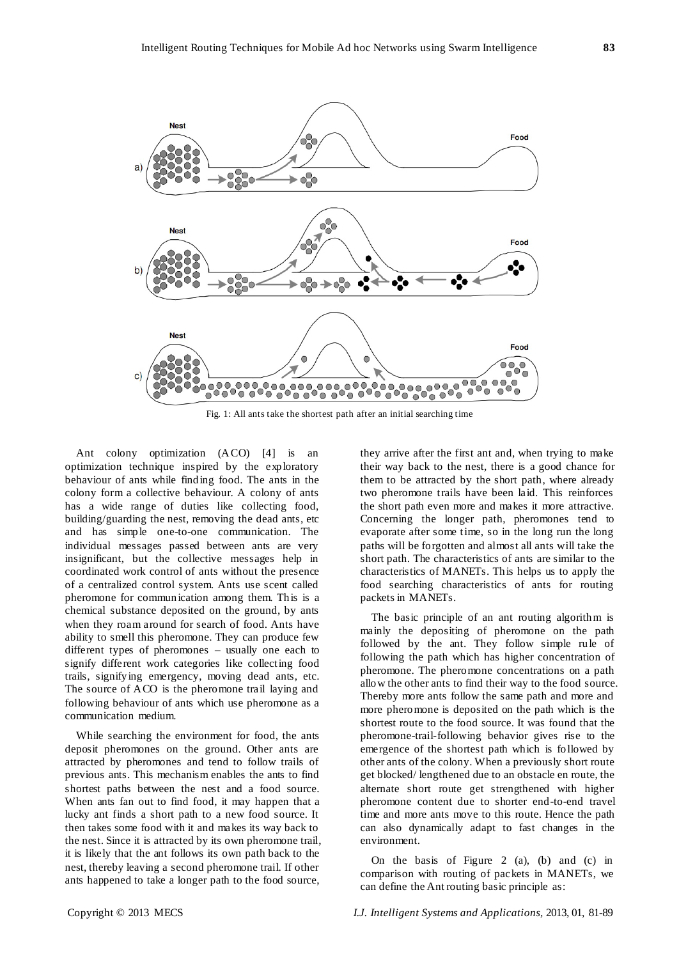

Fig. 1: All ants take the shortest path after an initial searching time

Ant colony optimization (ACO) [4] is an optimization technique inspired by the exploratory behaviour of ants while finding food. The ants in the colony form a collective behaviour. A colony of ants has a wide range of duties like collecting food, building/guarding the nest, removing the dead ants, etc and has simple one-to-one communication. The individual messages passed between ants are very insignificant, but the collective messages help in coordinated work control of ants without the presence of a centralized control system. Ants use scent called pheromone for communication among them. This is a chemical substance deposited on the ground, by ants when they roam around for search of food. Ants have ability to smell this pheromone. They can produce few different types of pheromones – usually one each to signify different work categories like collecting food trails, signifying emergency, moving dead ants, etc. The source of ACO is the pheromone trail laying and following behaviour of ants which use pheromone as a communication medium.

While searching the environment for food, the ants deposit pheromones on the ground. Other ants are attracted by pheromones and tend to follow trails of previous ants. This mechanism enables the ants to find shortest paths between the nest and a food source. When ants fan out to find food, it may happen that a lucky ant finds a short path to a new food source. It then takes some food with it and makes its way back to the nest. Since it is attracted by its own pheromone trail, it is likely that the ant follows its own path back to the nest, thereby leaving a second pheromone trail. If other ants happened to take a longer path to the food source,

they arrive after the first ant and, when trying to make their way back to the nest, there is a good chance for them to be attracted by the short path, where already two pheromone trails have been laid. This reinforces the short path even more and makes it more attractive. Concerning the longer path, pheromones tend to evaporate after some time, so in the long run the long paths will be forgotten and almost all ants will take the short path. The characteristics of ants are similar to the characteristics of MANETs. This helps us to apply the food searching characteristics of ants for routing packets in MANETs.

The basic principle of an ant routing algorithm is mainly the depositing of pheromone on the path followed by the ant. They follow simple rule of following the path which has higher concentration of pheromone. The pheromone concentrations on a path allow the other ants to find their way to the food source. Thereby more ants follow the same path and more and more pheromone is deposited on the path which is the shortest route to the food source. It was found that the pheromone-trail-following behavior gives rise to the emergence of the shortest path which is followed by other ants of the colony. When a previously short route get blocked/ lengthened due to an obstacle en route, the alternate short route get strengthened with higher pheromone content due to shorter end-to-end travel time and more ants move to this route. Hence the path can also dynamically adapt to fast changes in the environment.

On the basis of Figure 2 (a), (b) and (c) in comparison with routing of packets in MANETs, we can define the Ant routing basic principle as: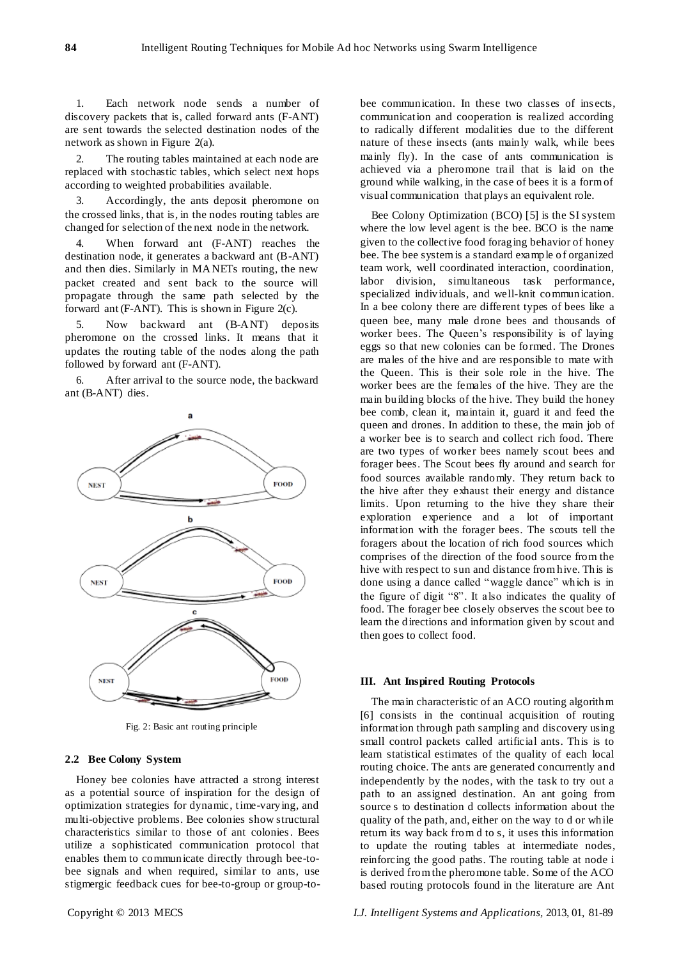1. Each network node sends a number of discovery packets that is, called forward ants (F-ANT) are sent towards the selected destination nodes of the network as shown in Figure 2(a).

2. The routing tables maintained at each node are replaced with stochastic tables, which select next hops according to weighted probabilities available.

3. Accordingly, the ants deposit pheromone on the crossed links, that is, in the nodes routing tables are changed for selection of the next node in the network.

When forward ant (F-ANT) reaches the destination node, it generates a backward ant (B-ANT) and then dies. Similarly in MANETs routing, the new packet created and sent back to the source will propagate through the same path selected by the forward ant (F-ANT). This is shown in Figure 2(c).

5. Now backward ant (B-ANT) deposits pheromone on the crossed links. It means that it updates the routing table of the nodes along the path followed by forward ant (F-ANT).

After arrival to the source node, the backward ant (B-ANT) dies.



Fig. 2: Basic ant routing principle

# **2.2 Bee Colony System**

Honey bee colonies have attracted a strong interest as a potential source of inspiration for the design of optimization strategies for dynamic, time-varying, and multi-objective problems. Bee colonies show structural characteristics similar to those of ant colonies. Bees utilize a sophisticated communication protocol that enables them to communicate directly through bee-tobee signals and when required, similar to ants, use stigmergic feedback cues for bee-to-group or group-tobee communication. In these two classes of ins ects, communication and cooperation is realized according to radically different modalities due to the different nature of these insects (ants mainly walk, while bees mainly fly). In the case of ants communication is achieved via a pheromone trail that is laid on the ground while walking, in the case of bees it is a form of visual communication that plays an equivalent role.

Bee Colony Optimization (BCO) [5] is the SI system where the low level agent is the bee. BCO is the name given to the collective food foraging behavior of honey bee. The bee system is a standard example of organized team work, well coordinated interaction, coordination, labor division, simultaneous task performance, specialized individuals, and well-knit communication. In a bee colony there are different types of bees like a queen bee, many male drone bees and thousands of worker bees. The Queen's responsibility is of laying eggs so that new colonies can be formed. The Drones are males of the hive and are responsible to mate with the Queen. This is their sole role in the hive. The worker bees are the females of the hive. They are the main building blocks of the hive. They build the honey bee comb, clean it, maintain it, guard it and feed the queen and drones. In addition to these, the main job of a worker bee is to search and collect rich food. There are two types of worker bees namely scout bees and forager bees. The Scout bees fly around and search for food sources available randomly. They return back to the hive after they exhaust their energy and distance limits. Upon returning to the hive they share their exploration experience and a lot of important information with the forager bees. The scouts tell the foragers about the location of rich food sources which comprises of the direction of the food source from the hive with respect to sun and distance from hive. This is done using a dance called "waggle dance" which is in the figure of digit "8". It also indicates the quality of food. The forager bee closely observes the scout bee to learn the directions and information given by scout and then goes to collect food.

#### **III. Ant Inspired Routing Protocols**

The main characteristic of an ACO routing algorithm [6] consists in the continual acquisition of routing information through path sampling and discovery using small control packets called artificial ants. This is to learn statistical estimates of the quality of each local routing choice. The ants are generated concurrently and independently by the nodes, with the task to try out a path to an assigned destination. An ant going from source s to destination d collects information about the quality of the path, and, either on the way to d or while return its way back from d to s, it uses this information to update the routing tables at intermediate nodes, reinforcing the good paths. The routing table at node i is derived from the pheromone table. Some of the ACO based routing protocols found in the literature are Ant

Copyright © 2013 MECS *I.J. Intelligent Systems and Applications,* 2013, 01, 81-89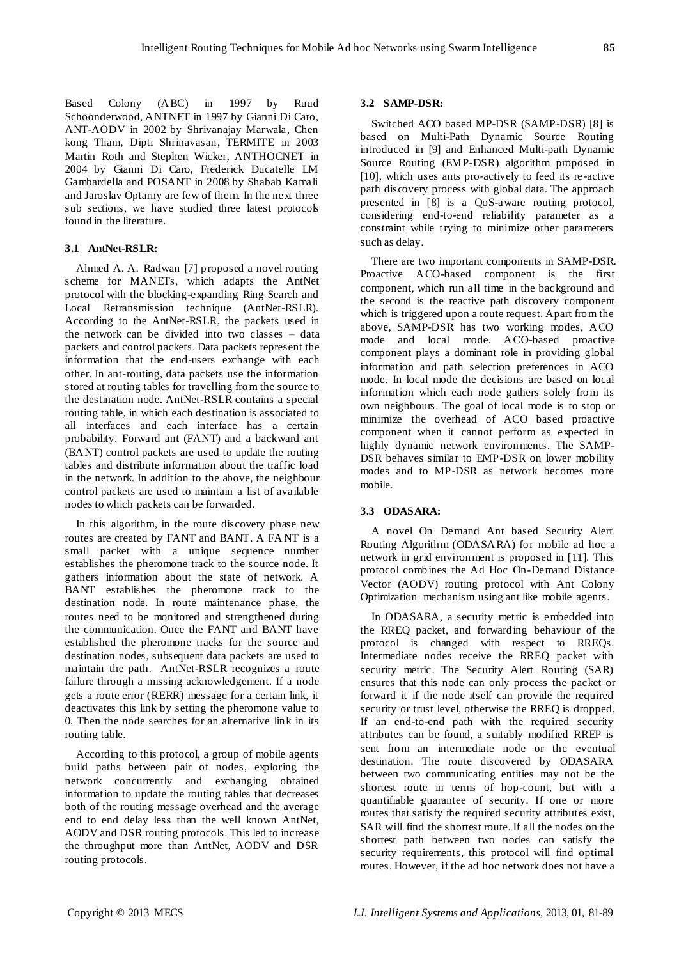Based Colony (ABC) in 1997 by Ruud Schoonderwood, ANTNET in 1997 by Gianni Di Caro, ANT-AODV in 2002 by Shrivanajay Marwala, Chen kong Tham, Dipti Shrinavasan, TERMITE in 2003 Martin Roth and Stephen Wicker, ANTHOCNET in 2004 by Gianni Di Caro, Frederick Ducatelle LM Gambardella and POSANT in 2008 by Shabab Kamali and Jaroslav Optarny are few of them. In the next three sub sections, we have studied three latest protocols found in the literature.

# **3.1 AntNet-RSLR:**

Ahmed A. A. Radwan [7] proposed a novel routing scheme for MANETs, which adapts the AntNet protocol with the blocking-expanding Ring Search and Local Retransmission technique (AntNet-RSLR). According to the AntNet-RSLR, the packets used in the network can be divided into two classes – data packets and control packets. Data packets represent the information that the end-users exchange with each other. In ant-routing, data packets use the information stored at routing tables for travelling from the source to the destination node. AntNet-RSLR contains a special routing table, in which each destination is associated to all interfaces and each interface has a certain probability. Forward ant (FANT) and a backward ant (BANT) control packets are used to update the routing tables and distribute information about the traffic load in the network. In addition to the above, the neighbour control packets are used to maintain a list of available nodes to which packets can be forwarded.

In this algorithm, in the route discovery phase new routes are created by FANT and BANT. A FA NT is a small packet with a unique sequence number establishes the pheromone track to the source node. It gathers information about the state of network. A BANT establishes the pheromone track to the destination node. In route maintenance phase, the routes need to be monitored and strengthened during the communication. Once the FANT and BANT have established the pheromone tracks for the source and destination nodes, subsequent data packets are used to maintain the path. AntNet-RSLR recognizes a route failure through a missing acknowledgement. If a node gets a route error (RERR) message for a certain link, it deactivates this link by setting the pheromone value to 0. Then the node searches for an alternative link in its routing table.

According to this protocol, a group of mobile agents build paths between pair of nodes, exploring the network concurrently and exchanging obtained information to update the routing tables that decreases both of the routing message overhead and the average end to end delay less than the well known AntNet, AODV and DSR routing protocols. This led to increase the throughput more than AntNet, AODV and DSR routing protocols.

# **3.2 SAMP-DSR:**

Switched ACO based MP-DSR (SAMP-DSR) [8] is based on Multi-Path Dynamic Source Routing introduced in [9] and Enhanced Multi-path Dynamic Source Routing (EMP-DSR) algorithm proposed in [10], which uses ants pro-actively to feed its re -active path discovery process with global data. The approach presented in [8] is a QoS-aware routing protocol, considering end-to-end reliability parameter as a constraint while trying to minimize other parameters such as delay.

There are two important components in SAMP-DSR. Proactive ACO-based component is the first component, which run all time in the background and the second is the reactive path discovery component which is triggered upon a route request. Apart from the above, SAMP-DSR has two working modes, ACO mode and local mode. ACO-based proactive component plays a dominant role in providing global information and path selection preferences in ACO mode. In local mode the decisions are based on local information which each node gathers solely from its own neighbours. The goal of local mode is to stop or minimize the overhead of ACO based proactive component when it cannot perform as expected in highly dynamic network environments. The SAMP-DSR behaves similar to EMP-DSR on lower mobility modes and to MP-DSR as network becomes more mobile.

# **3.3 ODASARA:**

A novel On Demand Ant based Security Alert Routing Algorithm (ODASARA) for mobile ad hoc a network in grid environment is proposed in [11]. This protocol combines the Ad Hoc On-Demand Distance Vector (AODV) routing protocol with Ant Colony Optimization mechanism using ant like mobile agents.

In ODASARA, a security metric is embedded into the RREQ packet, and forwarding behaviour of the protocol is changed with respect to RREQs. Intermediate nodes receive the RREQ packet with security metric. The Security Alert Routing (SAR) ensures that this node can only process the packet or forward it if the node itself can provide the required security or trust level, otherwise the RREQ is dropped. If an end-to-end path with the required security attributes can be found, a suitably modified RREP is sent from an intermediate node or the eventual destination. The route discovered by ODASARA between two communicating entities may not be the shortest route in terms of hop-count, but with a quantifiable guarantee of security. If one or more routes that satisfy the required security attributes exist, SAR will find the shortest route. If all the nodes on the shortest path between two nodes can satisfy the security requirements, this protocol will find optimal routes. However, if the ad hoc network does not have a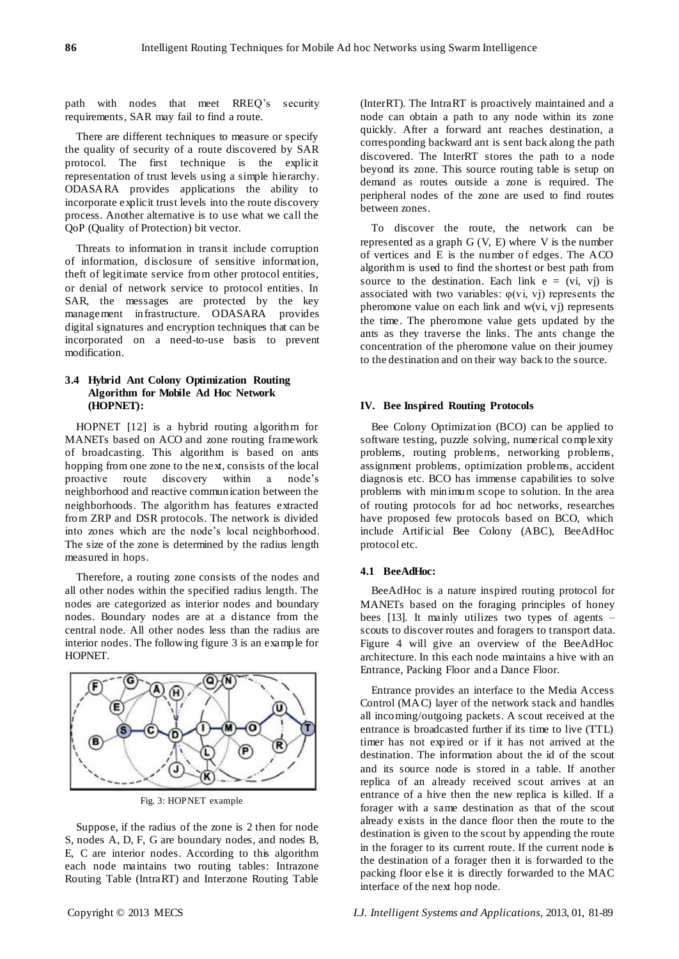path with nodes that meet RREQ's security requirements, SAR may fail to find a route.

There are different techniques to measure or specify the quality of security of a route discovered by SAR protocol. The first technique is the explicit representation of trust levels using a simple hierarchy. ODASARA provides applications the ability to incorporate explicit trust levels into the route discovery process. Another alternative is to use what we call the QoP (Quality of Protection) bit vector.

Threats to information in transit include corruption of information, disclosure of sensitive information, theft of legitimate service from other protocol entities, or denial of network service to protocol entities. In SAR, the messages are protected by the key management infrastructure. ODASARA provides digital signatures and encryption techniques that can be incorporated on a need-to-use basis to prevent modification.

# **3.4 Hybrid Ant Colony Optimization Routing Algorithm for Mobile Ad Hoc Network (HOPNET):**

HOPNET [12] is a hybrid routing algorithm for MANETs based on ACO and zone routing framework of broadcasting. This algorithm is based on ants hopping from one zone to the next, consists of the local proactive route discovery within a node"s neighborhood and reactive communication between the neighborhoods. The algorithm has features extracted from ZRP and DSR protocols. The network is divided into zones which are the node"s local neighborhood. The size of the zone is determined by the radius length measured in hops.

Therefore, a routing zone consists of the nodes and all other nodes within the specified radius length. The nodes are categorized as interior nodes and boundary nodes. Boundary nodes are at a distance from the central node. All other nodes less than the radius are interior nodes. The following figure 3 is an example for HOPNET.



Fig. 3: HOPNET example

Suppose, if the radius of the zone is 2 then for node S, nodes A, D, F, G are boundary nodes, and nodes B, E, C are interior nodes. According to this algorithm each node maintains two routing tables: Intrazone Routing Table (IntraRT) and Interzone Routing Table

(InterRT). The IntraRT is proactively maintained and a node can obtain a path to any node within its zone quickly. After a forward ant reaches destination, a corresponding backward ant is sent back along the path discovered. The InterRT stores the path to a node beyond its zone. This source routing table is setup on demand as routes outside a zone is required. The peripheral nodes of the zone are used to find routes between zones.

To discover the route, the network can be represented as a graph  $G(V, E)$  where V is the number of vertices and E is the number of edges. The ACO algorithm is used to find the shortest or best path from source to the destination. Each link  $e = (vi, vi)$  is associated with two variables:  $\varphi$ (vi, vi) represents the pheromone value on each link and  $w(v_i, v_j)$  represents the time. The pheromone value gets updated by the ants as they traverse the links. The ants change the concentration of the pheromone value on their journey to the destination and on their way back to the source.

# **IV. Bee Inspired Routing Protocols**

Bee Colony Optimization (BCO) can be applied to software testing, puzzle solving, numerical complexity problems, routing problems, networking problems, assignment problems, optimization problems, accident diagnosis etc. BCO has immense capabilities to solve problems with minimum scope to solution. In the area of routing protocols for ad hoc networks, researches have proposed few protocols based on BCO, which include Artificial Bee Colony (ABC), BeeAdHoc protocol etc.

## **4.1 BeeAdHoc:**

BeeAdHoc is a nature inspired routing protocol for MANETs based on the foraging principles of honey bees [13]. It mainly utilizes two types of agents – scouts to discover routes and foragers to transport data. Figure 4 will give an overview of the BeeAdHoc architecture. In this each node maintains a hive with an Entrance, Packing Floor and a Dance Floor.

Entrance provides an interface to the Media Access Control (MAC) layer of the network stack and handles all incoming/outgoing packets. A scout received at the entrance is broadcasted further if its time to live (TTL) timer has not expired or if it has not arrived at the destination. The information about the id of the scout and its source node is stored in a table. If another replica of an already received scout arrives at an entrance of a hive then the new replica is killed. If a forager with a same destination as that of the scout already exists in the dance floor then the route to the destination is given to the scout by appending the route in the forager to its current route. If the current node is the destination of a forager then it is forwarded to the packing floor else it is directly forwarded to the MAC interface of the next hop node.

Copyright © 2013 MECS *I.J. Intelligent Systems and Applications,* 2013, 01, 81-89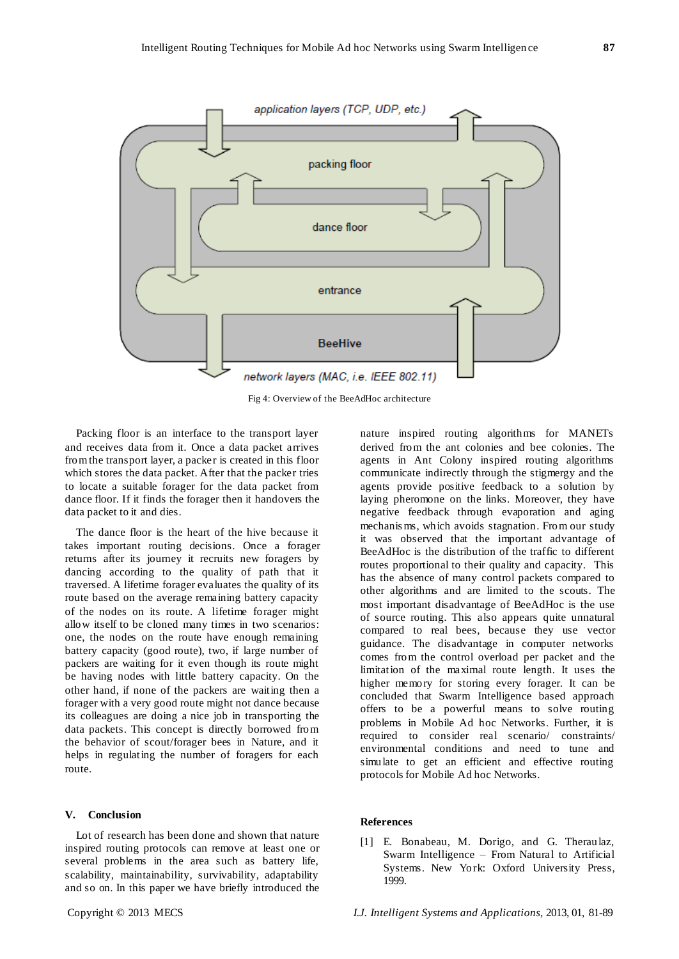



Fig 4: Overview of the BeeAdHoc architecture

Packing floor is an interface to the transport layer and receives data from it. Once a data packet arrives from the transport layer, a packer is created in this floor which stores the data packet. After that the packer tries to locate a suitable forager for the data packet from dance floor. If it finds the forager then it handovers the data packet to it and dies.

The dance floor is the heart of the hive because it takes important routing decisions. Once a forager returns after its journey it recruits new foragers by dancing according to the quality of path that it traversed. A lifetime forager evaluates the quality of its route based on the average remaining battery capacity of the nodes on its route. A lifetime forager might allow itself to be cloned many times in two scenarios: one, the nodes on the route have enough remaining battery capacity (good route), two, if large number of packers are waiting for it even though its route might be having nodes with little battery capacity. On the other hand, if none of the packers are waiting then a forager with a very good route might not dance because its colleagues are doing a nice job in transporting the data packets. This concept is directly borrowed from the behavior of scout/forager bees in Nature, and it helps in regulating the number of foragers for each route.

## **V. Conclusion**

Lot of research has been done and shown that nature inspired routing protocols can remove at least one or several problems in the area such as battery life, scalability, maintainability, survivability, adaptability and so on. In this paper we have briefly introduced the

nature inspired routing algorithms for MANETs derived from the ant colonies and bee colonies. The agents in Ant Colony inspired routing algorithms communicate indirectly through the stigmergy and the agents provide positive feedback to a solution by laying pheromone on the links. Moreover, they have negative feedback through evaporation and aging mechanis ms, which avoids stagnation. From our study it was observed that the important advantage of BeeAdHoc is the distribution of the traffic to different routes proportional to their quality and capacity. This has the absence of many control packets compared to other algorithms and are limited to the scouts. The most important disadvantage of BeeAdHoc is the use of source routing. This also appears quite unnatural compared to real bees, because they use vector guidance. The disadvantage in computer networks comes from the control overload per packet and the limitation of the maximal route length. It uses the higher memory for storing every forager. It can be concluded that Swarm Intelligence based approach offers to be a powerful means to solve routing problems in Mobile Ad hoc Networks. Further, it is required to consider real scenario/ constraints/ environmental conditions and need to tune and simulate to get an efficient and effective routing protocols for Mobile Ad hoc Networks.

#### **References**

[1] E. Bonabeau, M. Dorigo, and G. Theraulaz, Swarm Intelligence – From Natural to Artificial Systems. New York: Oxford University Press, 1999.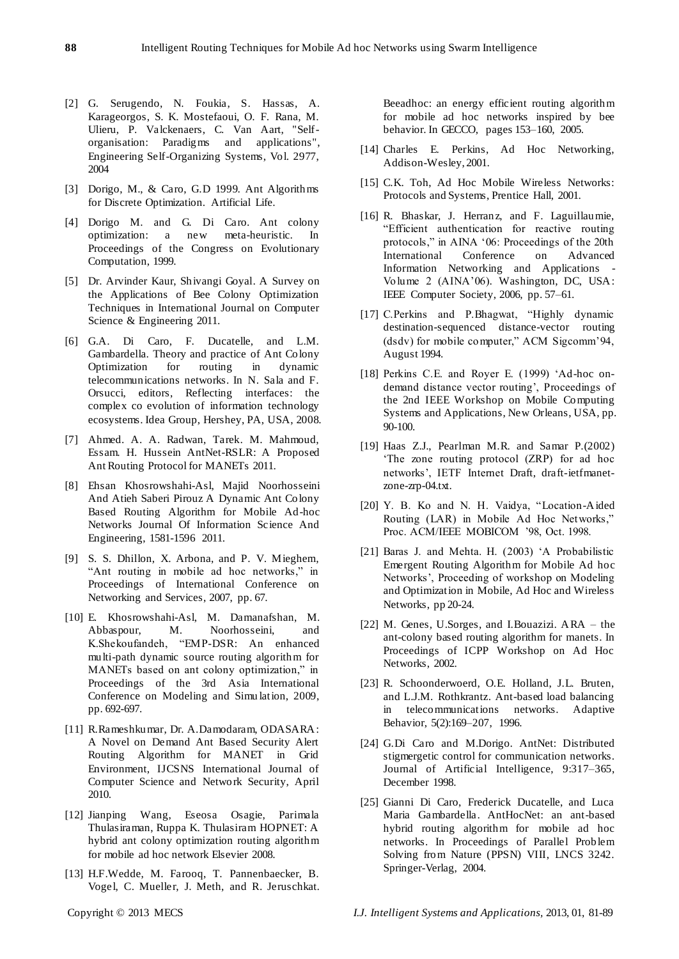- [2] G. Serugendo, N. Foukia, S. Hassas, A. Karageorgos, S. K. Mostefaoui, O. F. Rana, M. Ulieru, P. Valckenaers, C. Van Aart, "Selforganisation: Paradigms and applications", Engineering Self-Organizing Systems, Vol. 2977, 2004
- [3] Dorigo, M., & Caro, G.D 1999. Ant Algorithms for Discrete Optimization. Artificial Life.
- [4] Dorigo M. and G. Di Caro. Ant colony optimization: a new meta-heuristic. In Proceedings of the Congress on Evolutionary Computation, 1999.
- [5] Dr. Arvinder Kaur, Shivangi Goyal. A Survey on the Applications of Bee Colony Optimization Techniques in International Journal on Computer Science & Engineering 2011.
- [6] G.A. Di Caro, F. Ducatelle, and L.M. Gambardella. Theory and practice of Ant Colony Optimization for routing in dynamic telecommunications networks. In N. Sala and F. Orsucci, editors, Reflecting interfaces: the complex co evolution of information technology ecosystems. Idea Group, Hershey, PA, USA, 2008.
- [7] Ahmed. A. A. Radwan, Tarek. M. Mahmoud, Essam. H. Hussein AntNet-RSLR: A Proposed Ant Routing Protocol for MANETs 2011.
- [8] Ehsan Khosrowshahi-Asl, Majid Noorhosseini And Atieh Saberi Pirouz A Dynamic Ant Colony Based Routing Algorithm for Mobile Ad-hoc Networks Journal Of Information Science And Engineering, 1581-1596 2011.
- [9] S. S. Dhillon, X. Arbona, and P. V. Mieghem, "Ant routing in mobile ad hoc networks," in Proceedings of International Conference on Networking and Services, 2007, pp. 67.
- [10] E. Khosrowshahi-Asl, M. Damanafshan, M. Abbaspour, M. Noorhosseini, and K.Shekoufandeh, "EMP-DSR: An enhanced multi-path dynamic source routing algorithm for MANETs based on ant colony optimization," in Proceedings of the 3rd Asia International Conference on Modeling and Simu lation, 2009, pp. 692-697.
- [11] R.Rameshkumar, Dr. A.Damodaram, ODASARA: A Novel on Demand Ant Based Security Alert Routing Algorithm for MANET in Grid Environment, IJCSNS International Journal of Computer Science and Network Security, April 2010.
- [12] Jianping Wang, Eseosa Osagie, Parimala Thulasiraman, Ruppa K. Thulasiram HOPNET: A hybrid ant colony optimization routing algorithm for mobile ad hoc network Elsevier 2008.
- [13] H.F.Wedde, M. Farooq, T. Pannenbaecker, B. Vogel, C. Mueller, J. Meth, and R. Jeruschkat.

Beeadhoc: an energy efficient routing algorithm for mobile ad hoc networks inspired by bee behavior. In GECCO, pages 153–160, 2005.

- [14] Charles E. Perkins, Ad Hoc Networking, Addison-Wesley, 2001.
- [15] C.K. Toh, Ad Hoc Mobile Wireless Networks: Protocols and Systems, Prentice Hall, 2001.
- [16] R. Bhaskar, J. Herranz, and F. Laguillaumie, "Efficient authentication for reactive routing protocols," in AINA "06: Proceedings of the 20th International Conference on Advanced Information Networking and Applications Volume 2 (AINA"06). Washington, DC, USA: IEEE Computer Society, 2006, pp. 57–61.
- [17] C.Perkins and P.Bhagwat, "Highly dynamic destination-sequenced distance-vector routing (dsdv) for mobile computer," ACM Sigcomm"94, August 1994.
- [18] Perkins C.E. and Royer E. (1999) 'Ad-hoc ondemand distance vector routing", Proceedings of the 2nd IEEE Workshop on Mobile Computing Systems and Applications, New Orleans, USA, pp. 90-100.
- [19] Haas Z.J., Pearlman M.R. and Samar P.(2002) "The zone routing protocol (ZRP) for ad hoc networks", IETF Internet Draft, draft-ietfmanetzone-zrp-04.txt.
- [20] Y. B. Ko and N. H. Vaidya, "Location-Aided Routing (LAR) in Mobile Ad Hoc Networks," Proc. ACM/IEEE MOBICOM "98, Oct. 1998.
- [21] Baras J. and Mehta. H. (2003) "A Probabilistic Emergent Routing Algorithm for Mobile Ad hoc Networks", Proceeding of workshop on Modeling and Optimization in Mobile, Ad Hoc and Wireless Networks, pp 20-24.
- [22] M. Genes, U.Sorges, and I.Bouazizi. ARA the ant-colony based routing algorithm for manets. In Proceedings of ICPP Workshop on Ad Hoc Networks, 2002.
- [23] R. Schoonderwoerd, O.E. Holland, J.L. Bruten, and L.J.M. Rothkrantz. Ant-based load balancing in telecommunications networks. Adaptive Behavior, 5(2):169–207, 1996.
- [24] G.Di Caro and M.Dorigo. AntNet: Distributed stigmergetic control for communication networks. Journal of Artificial Intelligence, 9:317–365, December 1998.
- [25] Gianni Di Caro, Frederick Ducatelle, and Luca Maria Gambardella. AntHocNet: an ant-based hybrid routing algorithm for mobile ad hoc networks. In Proceedings of Parallel Problem Solving from Nature (PPSN) VIII, LNCS 3242. Springer-Verlag, 2004.